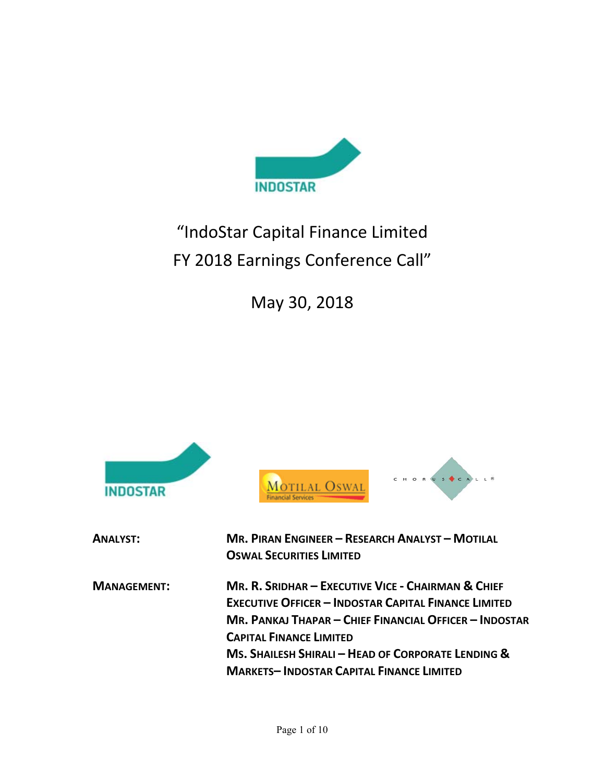

# "IndoStar Capital Finance Limited FY 2018 Earnings Conference Call"

May 30, 2018

| <b>IDOSTAR</b>     |                                                                                                                                                                                                                                                                                                                        |
|--------------------|------------------------------------------------------------------------------------------------------------------------------------------------------------------------------------------------------------------------------------------------------------------------------------------------------------------------|
| <b>ANALYST:</b>    | <b>MR. PIRAN ENGINEER - RESEARCH ANALYST - MOTILAL</b><br><b>OSWAL SECURITIES LIMITED</b>                                                                                                                                                                                                                              |
| <b>MANAGEMENT:</b> | MR. R. SRIDHAR - EXECUTIVE VICE - CHAIRMAN & CHIEF<br><b>EXECUTIVE OFFICER - INDOSTAR CAPITAL FINANCE LIMITED</b><br>MR. PANKAJ THAPAR – CHIEF FINANCIAL OFFICER – INDOSTAR<br><b>CAPITAL FINANCE LIMITED</b><br>MS. SHAILESH SHIRALI - HEAD OF CORPORATE LENDING &<br><b>MARKETS-INDOSTAR CAPITAL FINANCE LIMITED</b> |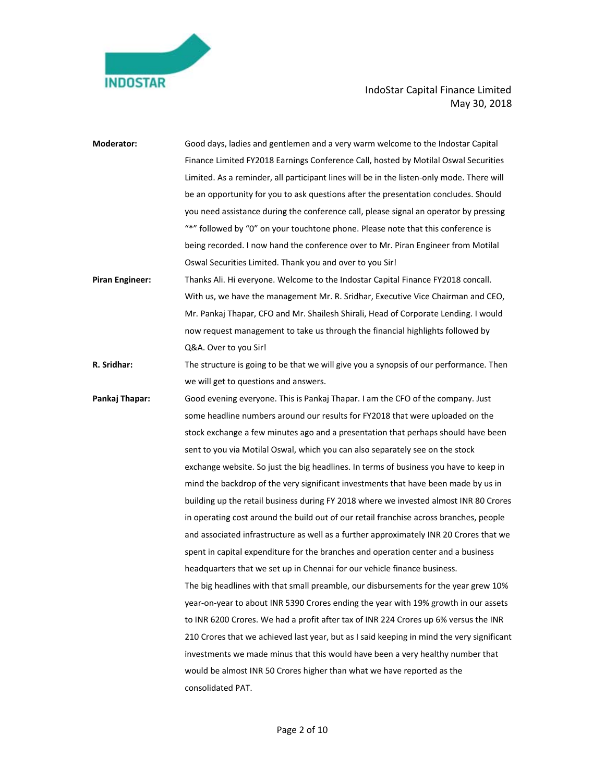

| <b>Moderator:</b>      | Good days, ladies and gentlemen and a very warm welcome to the Indostar Capital           |
|------------------------|-------------------------------------------------------------------------------------------|
|                        | Finance Limited FY2018 Earnings Conference Call, hosted by Motilal Oswal Securities       |
|                        | Limited. As a reminder, all participant lines will be in the listen-only mode. There will |
|                        | be an opportunity for you to ask questions after the presentation concludes. Should       |
|                        | you need assistance during the conference call, please signal an operator by pressing     |
|                        | "*" followed by "0" on your touchtone phone. Please note that this conference is          |
|                        | being recorded. I now hand the conference over to Mr. Piran Engineer from Motilal         |
|                        | Oswal Securities Limited. Thank you and over to you Sir!                                  |
| <b>Piran Engineer:</b> | Thanks Ali. Hi everyone. Welcome to the Indostar Capital Finance FY2018 concall.          |
|                        | With us, we have the management Mr. R. Sridhar, Executive Vice Chairman and CEO,          |
|                        | Mr. Pankaj Thapar, CFO and Mr. Shailesh Shirali, Head of Corporate Lending. I would       |
|                        | now request management to take us through the financial highlights followed by            |
|                        | Q&A. Over to you Sir!                                                                     |
| R. Sridhar:            | The structure is going to be that we will give you a synopsis of our performance. Then    |
|                        | we will get to questions and answers.                                                     |
| Pankaj Thapar:         | Good evening everyone. This is Pankaj Thapar. I am the CFO of the company. Just           |
|                        | some headline numbers around our results for FY2018 that were uploaded on the             |
|                        | stock exchange a few minutes ago and a presentation that perhaps should have been         |
|                        | sent to you via Motilal Oswal, which you can also separately see on the stock             |
|                        | exchange website. So just the big headlines. In terms of business you have to keep in     |
|                        | mind the backdrop of the very significant investments that have been made by us in        |
|                        | building up the retail business during FY 2018 where we invested almost INR 80 Crores     |
|                        | in operating cost around the build out of our retail franchise across branches, people    |
|                        | and associated infrastructure as well as a further approximately INR 20 Crores that we    |
|                        | spent in capital expenditure for the branches and operation center and a business         |
|                        | headquarters that we set up in Chennai for our vehicle finance business.                  |
|                        | The big headlines with that small preamble, our disbursements for the year grew 10%       |
|                        | year-on-year to about INR 5390 Crores ending the year with 19% growth in our assets       |
|                        | to INR 6200 Crores. We had a profit after tax of INR 224 Crores up 6% versus the INR      |
|                        | 210 Crores that we achieved last year, but as I said keeping in mind the very significant |
|                        | investments we made minus that this would have been a very healthy number that            |
|                        | would be almost INR 50 Crores higher than what we have reported as the                    |
|                        | consolidated PAT.                                                                         |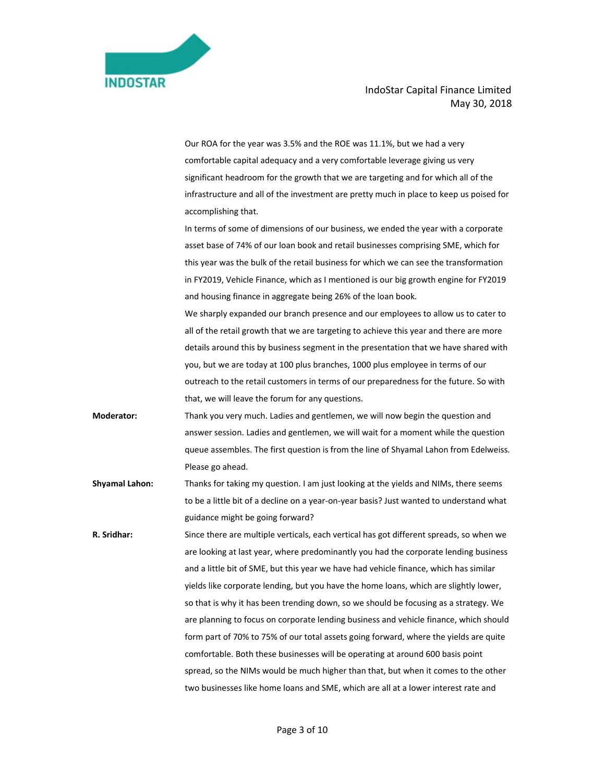|                       | Our ROA for the year was 3.5% and the ROE was 11.1%, but we had a very                  |
|-----------------------|-----------------------------------------------------------------------------------------|
|                       | comfortable capital adequacy and a very comfortable leverage giving us very             |
|                       | significant headroom for the growth that we are targeting and for which all of the      |
|                       | infrastructure and all of the investment are pretty much in place to keep us poised for |
|                       | accomplishing that.                                                                     |
|                       | In terms of some of dimensions of our business, we ended the year with a corporate      |
|                       | asset base of 74% of our loan book and retail businesses comprising SME, which for      |
|                       | this year was the bulk of the retail business for which we can see the transformation   |
|                       | in FY2019, Vehicle Finance, which as I mentioned is our big growth engine for FY2019    |
|                       | and housing finance in aggregate being 26% of the loan book.                            |
|                       | We sharply expanded our branch presence and our employees to allow us to cater to       |
|                       | all of the retail growth that we are targeting to achieve this year and there are more  |
|                       | details around this by business segment in the presentation that we have shared with    |
|                       | you, but we are today at 100 plus branches, 1000 plus employee in terms of our          |
|                       | outreach to the retail customers in terms of our preparedness for the future. So with   |
|                       | that, we will leave the forum for any questions.                                        |
| <b>Moderator:</b>     | Thank you very much. Ladies and gentlemen, we will now begin the question and           |
|                       | answer session. Ladies and gentlemen, we will wait for a moment while the question      |
|                       | queue assembles. The first question is from the line of Shyamal Lahon from Edelweiss.   |
|                       | Please go ahead.                                                                        |
| <b>Shyamal Lahon:</b> | Thanks for taking my question. I am just looking at the yields and NIMs, there seems    |
|                       | to be a little bit of a decline on a year-on-year basis? Just wanted to understand what |
|                       | guidance might be going forward?                                                        |
| R. Sridhar:           | Since there are multiple verticals, each vertical has got different spreads, so when we |
|                       | are looking at last year, where predominantly you had the corporate lending business    |
|                       | and a little bit of SME, but this year we have had vehicle finance, which has similar   |
|                       | yields like corporate lending, but you have the home loans, which are slightly lower,   |
|                       | so that is why it has been trending down, so we should be focusing as a strategy. We    |
|                       | are planning to focus on corporate lending business and vehicle finance, which should   |
|                       | form part of 70% to 75% of our total assets going forward, where the yields are quite   |
|                       | comfortable. Both these businesses will be operating at around 600 basis point          |
|                       | spread, so the NIMs would be much higher than that, but when it comes to the other      |
|                       | two businesses like home loans and SME, which are all at a lower interest rate and      |

**INDOSTAR**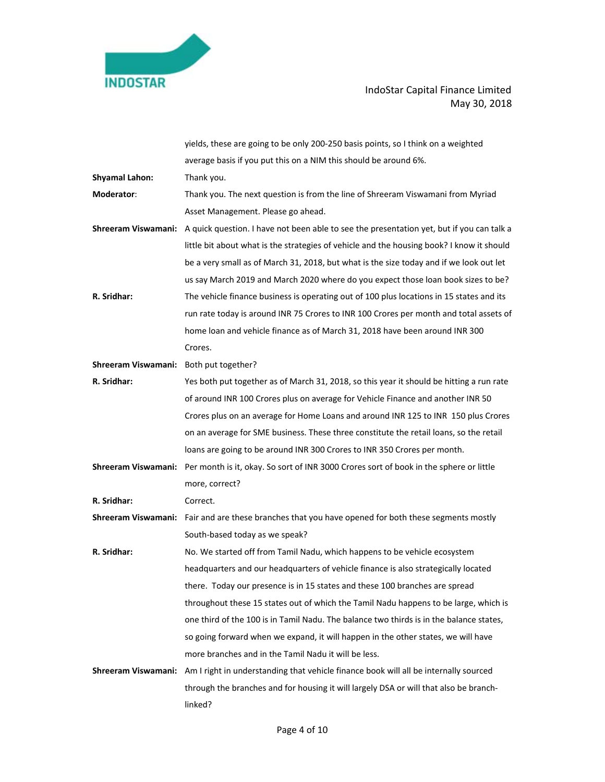

|                                        | yields, these are going to be only 200-250 basis points, so I think on a weighted                             |
|----------------------------------------|---------------------------------------------------------------------------------------------------------------|
|                                        | average basis if you put this on a NIM this should be around 6%.                                              |
| <b>Shyamal Lahon:</b>                  | Thank you.                                                                                                    |
| Moderator:                             | Thank you. The next question is from the line of Shreeram Viswamani from Myriad                               |
|                                        | Asset Management. Please go ahead.                                                                            |
|                                        | Shreeram Viswamani: A quick question. I have not been able to see the presentation yet, but if you can talk a |
|                                        | little bit about what is the strategies of vehicle and the housing book? I know it should                     |
|                                        | be a very small as of March 31, 2018, but what is the size today and if we look out let                       |
|                                        | us say March 2019 and March 2020 where do you expect those loan book sizes to be?                             |
| R. Sridhar:                            | The vehicle finance business is operating out of 100 plus locations in 15 states and its                      |
|                                        | run rate today is around INR 75 Crores to INR 100 Crores per month and total assets of                        |
|                                        | home loan and vehicle finance as of March 31, 2018 have been around INR 300                                   |
|                                        | Crores.                                                                                                       |
| Shreeram Viswamani: Both put together? |                                                                                                               |
| R. Sridhar:                            | Yes both put together as of March 31, 2018, so this year it should be hitting a run rate                      |
|                                        | of around INR 100 Crores plus on average for Vehicle Finance and another INR 50                               |
|                                        | Crores plus on an average for Home Loans and around INR 125 to INR 150 plus Crores                            |
|                                        | on an average for SME business. These three constitute the retail loans, so the retail                        |
|                                        | loans are going to be around INR 300 Crores to INR 350 Crores per month.                                      |
|                                        | Shreeram Viswamani: Per month is it, okay. So sort of INR 3000 Crores sort of book in the sphere or little    |
|                                        | more, correct?                                                                                                |
| R. Sridhar:                            | Correct.                                                                                                      |
|                                        | Shreeram Viswamani: Fair and are these branches that you have opened for both these segments mostly           |
|                                        | South-based today as we speak?                                                                                |
| R. Sridhar:                            | No. We started off from Tamil Nadu, which happens to be vehicle ecosystem                                     |
|                                        | headquarters and our headquarters of vehicle finance is also strategically located                            |
|                                        | there. Today our presence is in 15 states and these 100 branches are spread                                   |
|                                        | throughout these 15 states out of which the Tamil Nadu happens to be large, which is                          |
|                                        | one third of the 100 is in Tamil Nadu. The balance two thirds is in the balance states,                       |
|                                        | so going forward when we expand, it will happen in the other states, we will have                             |
|                                        | more branches and in the Tamil Nadu it will be less.                                                          |
| Shreeram Viswamani:                    | Am I right in understanding that vehicle finance book will all be internally sourced                          |
|                                        | through the branches and for housing it will largely DSA or will that also be branch-                         |
|                                        | linked?                                                                                                       |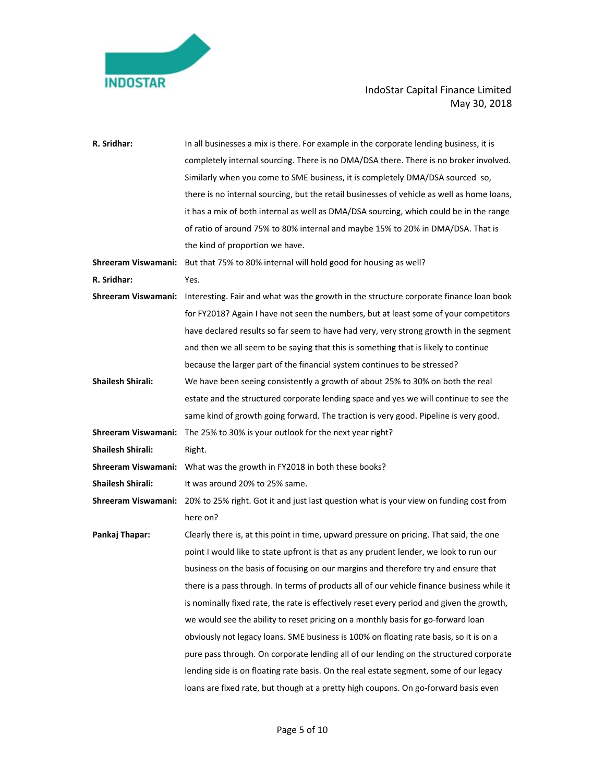

| R. Sridhar:              | In all businesses a mix is there. For example in the corporate lending business, it is                     |
|--------------------------|------------------------------------------------------------------------------------------------------------|
|                          | completely internal sourcing. There is no DMA/DSA there. There is no broker involved.                      |
|                          | Similarly when you come to SME business, it is completely DMA/DSA sourced so,                              |
|                          | there is no internal sourcing, but the retail businesses of vehicle as well as home loans,                 |
|                          | it has a mix of both internal as well as DMA/DSA sourcing, which could be in the range                     |
|                          | of ratio of around 75% to 80% internal and maybe 15% to 20% in DMA/DSA. That is                            |
|                          | the kind of proportion we have.                                                                            |
|                          | Shreeram Viswamani: But that 75% to 80% internal will hold good for housing as well?                       |
| R. Sridhar:              | Yes.                                                                                                       |
|                          | Shreeram Viswamani: Interesting. Fair and what was the growth in the structure corporate finance loan book |
|                          | for FY2018? Again I have not seen the numbers, but at least some of your competitors                       |
|                          | have declared results so far seem to have had very, very strong growth in the segment                      |
|                          | and then we all seem to be saying that this is something that is likely to continue                        |
|                          | because the larger part of the financial system continues to be stressed?                                  |
| <b>Shailesh Shirali:</b> | We have been seeing consistently a growth of about 25% to 30% on both the real                             |
|                          | estate and the structured corporate lending space and yes we will continue to see the                      |
|                          | same kind of growth going forward. The traction is very good. Pipeline is very good.                       |
|                          | <b>Shreeram Viswamani:</b> The 25% to 30% is your outlook for the next year right?                         |
| <b>Shailesh Shirali:</b> | Right.                                                                                                     |
|                          | <b>Shreeram Viswamani:</b> What was the growth in FY2018 in both these books?                              |
| <b>Shailesh Shirali:</b> | It was around 20% to 25% same.                                                                             |
|                          | Shreeram Viswamani: 20% to 25% right. Got it and just last question what is your view on funding cost from |
|                          | here on?                                                                                                   |
| Pankaj Thapar:           | Clearly there is, at this point in time, upward pressure on pricing. That said, the one                    |
|                          | point I would like to state upfront is that as any prudent lender, we look to run our                      |
|                          | business on the basis of focusing on our margins and therefore try and ensure that                         |
|                          | there is a pass through. In terms of products all of our vehicle finance business while it                 |
|                          | is nominally fixed rate, the rate is effectively reset every period and given the growth,                  |
|                          | we would see the ability to reset pricing on a monthly basis for go-forward loan                           |
|                          | obviously not legacy loans. SME business is 100% on floating rate basis, so it is on a                     |
|                          | pure pass through. On corporate lending all of our lending on the structured corporate                     |
|                          | lending side is on floating rate basis. On the real estate segment, some of our legacy                     |
|                          | loans are fixed rate, but though at a pretty high coupons. On go-forward basis even                        |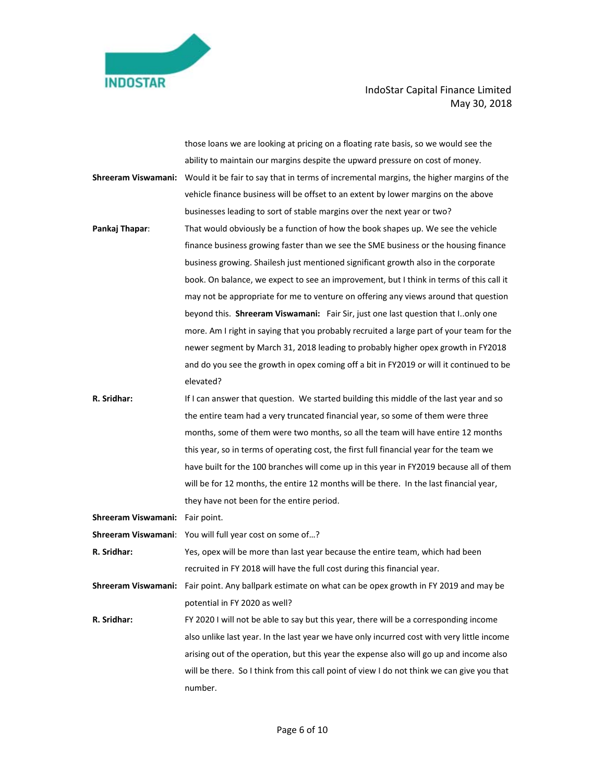

|                                 | those loans we are looking at pricing on a floating rate basis, so we would see the                         |
|---------------------------------|-------------------------------------------------------------------------------------------------------------|
|                                 | ability to maintain our margins despite the upward pressure on cost of money.                               |
|                                 | Shreeram Viswamani: Would it be fair to say that in terms of incremental margins, the higher margins of the |
|                                 | vehicle finance business will be offset to an extent by lower margins on the above                          |
|                                 | businesses leading to sort of stable margins over the next year or two?                                     |
| Pankaj Thapar:                  | That would obviously be a function of how the book shapes up. We see the vehicle                            |
|                                 | finance business growing faster than we see the SME business or the housing finance                         |
|                                 | business growing. Shailesh just mentioned significant growth also in the corporate                          |
|                                 | book. On balance, we expect to see an improvement, but I think in terms of this call it                     |
|                                 | may not be appropriate for me to venture on offering any views around that question                         |
|                                 | beyond this. Shreeram Viswamani: Fair Sir, just one last question that I. only one                          |
|                                 | more. Am I right in saying that you probably recruited a large part of your team for the                    |
|                                 | newer segment by March 31, 2018 leading to probably higher opex growth in FY2018                            |
|                                 | and do you see the growth in opex coming off a bit in FY2019 or will it continued to be                     |
|                                 | elevated?                                                                                                   |
| R. Sridhar:                     | If I can answer that question. We started building this middle of the last year and so                      |
|                                 | the entire team had a very truncated financial year, so some of them were three                             |
|                                 | months, some of them were two months, so all the team will have entire 12 months                            |
|                                 | this year, so in terms of operating cost, the first full financial year for the team we                     |
|                                 | have built for the 100 branches will come up in this year in FY2019 because all of them                     |
|                                 | will be for 12 months, the entire 12 months will be there. In the last financial year,                      |
|                                 | they have not been for the entire period.                                                                   |
| Shreeram Viswamani: Fair point. |                                                                                                             |
|                                 | Shreeram Viswamani: You will full year cost on some of?                                                     |
| R. Sridhar:                     | Yes, opex will be more than last year because the entire team, which had been                               |
|                                 | recruited in FY 2018 will have the full cost during this financial year.                                    |
|                                 | Shreeram Viswamani: Fair point. Any ballpark estimate on what can be opex growth in FY 2019 and may be      |
|                                 | potential in FY 2020 as well?                                                                               |
| R. Sridhar:                     | FY 2020 I will not be able to say but this year, there will be a corresponding income                       |
|                                 | also unlike last year. In the last year we have only incurred cost with very little income                  |
|                                 | arising out of the operation, but this year the expense also will go up and income also                     |
|                                 | will be there. So I think from this call point of view I do not think we can give you that                  |
|                                 | number.                                                                                                     |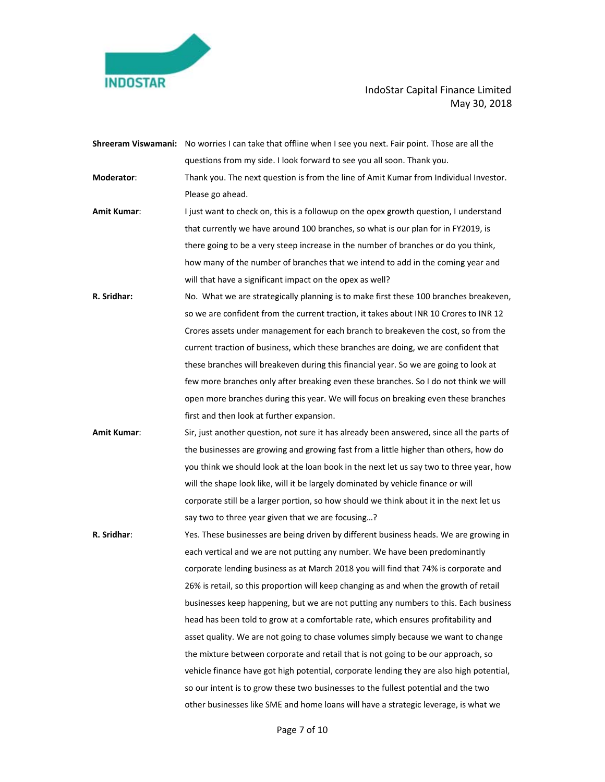

|             | Shreeram Viswamani: No worries I can take that offline when I see you next. Fair point. Those are all the |
|-------------|-----------------------------------------------------------------------------------------------------------|
|             | questions from my side. I look forward to see you all soon. Thank you.                                    |
| Moderator:  | Thank you. The next question is from the line of Amit Kumar from Individual Investor.                     |
|             | Please go ahead.                                                                                          |
| Amit Kumar: | I just want to check on, this is a followup on the opex growth question, I understand                     |
|             | that currently we have around 100 branches, so what is our plan for in FY2019, is                         |
|             | there going to be a very steep increase in the number of branches or do you think,                        |
|             | how many of the number of branches that we intend to add in the coming year and                           |
|             | will that have a significant impact on the opex as well?                                                  |
| R. Sridhar: | No. What we are strategically planning is to make first these 100 branches breakeven,                     |
|             | so we are confident from the current traction, it takes about INR 10 Crores to INR 12                     |
|             | Crores assets under management for each branch to breakeven the cost, so from the                         |
|             | current traction of business, which these branches are doing, we are confident that                       |
|             | these branches will breakeven during this financial year. So we are going to look at                      |
|             | few more branches only after breaking even these branches. So I do not think we will                      |
|             | open more branches during this year. We will focus on breaking even these branches                        |
|             | first and then look at further expansion.                                                                 |
| Amit Kumar: | Sir, just another question, not sure it has already been answered, since all the parts of                 |
|             | the businesses are growing and growing fast from a little higher than others, how do                      |
|             | you think we should look at the loan book in the next let us say two to three year, how                   |
|             | will the shape look like, will it be largely dominated by vehicle finance or will                         |
|             | corporate still be a larger portion, so how should we think about it in the next let us                   |
|             | say two to three year given that we are focusing?                                                         |
| R. Sridhar: | Yes. These businesses are being driven by different business heads. We are growing in                     |
|             | each vertical and we are not putting any number. We have been predominantly                               |
|             | corporate lending business as at March 2018 you will find that 74% is corporate and                       |
|             | 26% is retail, so this proportion will keep changing as and when the growth of retail                     |
|             | businesses keep happening, but we are not putting any numbers to this. Each business                      |
|             | head has been told to grow at a comfortable rate, which ensures profitability and                         |
|             | asset quality. We are not going to chase volumes simply because we want to change                         |
|             | the mixture between corporate and retail that is not going to be our approach, so                         |
|             | vehicle finance have got high potential, corporate lending they are also high potential,                  |
|             | so our intent is to grow these two businesses to the fullest potential and the two                        |
|             | other businesses like SME and home loans will have a strategic leverage, is what we                       |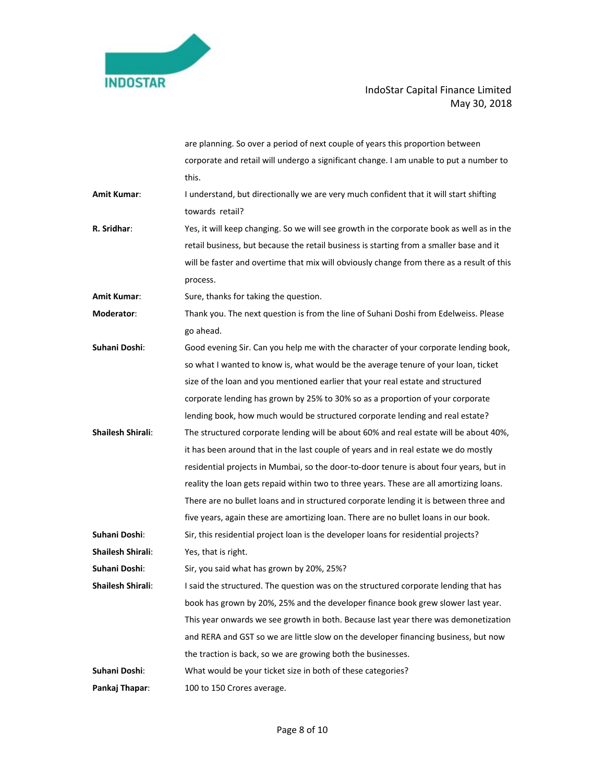

|                          | are planning. So over a period of next couple of years this proportion between            |
|--------------------------|-------------------------------------------------------------------------------------------|
|                          | corporate and retail will undergo a significant change. I am unable to put a number to    |
|                          | this.                                                                                     |
| Amit Kumar:              | I understand, but directionally we are very much confident that it will start shifting    |
|                          | towards retail?                                                                           |
| R. Sridhar:              | Yes, it will keep changing. So we will see growth in the corporate book as well as in the |
|                          | retail business, but because the retail business is starting from a smaller base and it   |
|                          | will be faster and overtime that mix will obviously change from there as a result of this |
|                          | process.                                                                                  |
| Amit Kumar:              | Sure, thanks for taking the question.                                                     |
| Moderator:               | Thank you. The next question is from the line of Suhani Doshi from Edelweiss. Please      |
|                          | go ahead.                                                                                 |
| Suhani Doshi:            | Good evening Sir. Can you help me with the character of your corporate lending book,      |
|                          | so what I wanted to know is, what would be the average tenure of your loan, ticket        |
|                          | size of the loan and you mentioned earlier that your real estate and structured           |
|                          | corporate lending has grown by 25% to 30% so as a proportion of your corporate            |
|                          | lending book, how much would be structured corporate lending and real estate?             |
| <b>Shailesh Shirali:</b> | The structured corporate lending will be about 60% and real estate will be about 40%,     |
|                          | it has been around that in the last couple of years and in real estate we do mostly       |
|                          | residential projects in Mumbai, so the door-to-door tenure is about four years, but in    |
|                          | reality the loan gets repaid within two to three years. These are all amortizing loans.   |
|                          | There are no bullet loans and in structured corporate lending it is between three and     |
|                          | five years, again these are amortizing loan. There are no bullet loans in our book.       |
| Suhani Doshi:            | Sir, this residential project loan is the developer loans for residential projects?       |
| <b>Shailesh Shirali:</b> | Yes, that is right.                                                                       |
| Suhani Doshi:            | Sir, you said what has grown by 20%, 25%?                                                 |
| <b>Shailesh Shirali:</b> | I said the structured. The question was on the structured corporate lending that has      |
|                          | book has grown by 20%, 25% and the developer finance book grew slower last year.          |
|                          | This year onwards we see growth in both. Because last year there was demonetization       |
|                          | and RERA and GST so we are little slow on the developer financing business, but now       |
|                          | the traction is back, so we are growing both the businesses.                              |
| Suhani Doshi:            | What would be your ticket size in both of these categories?                               |
| Pankaj Thapar:           | 100 to 150 Crores average.                                                                |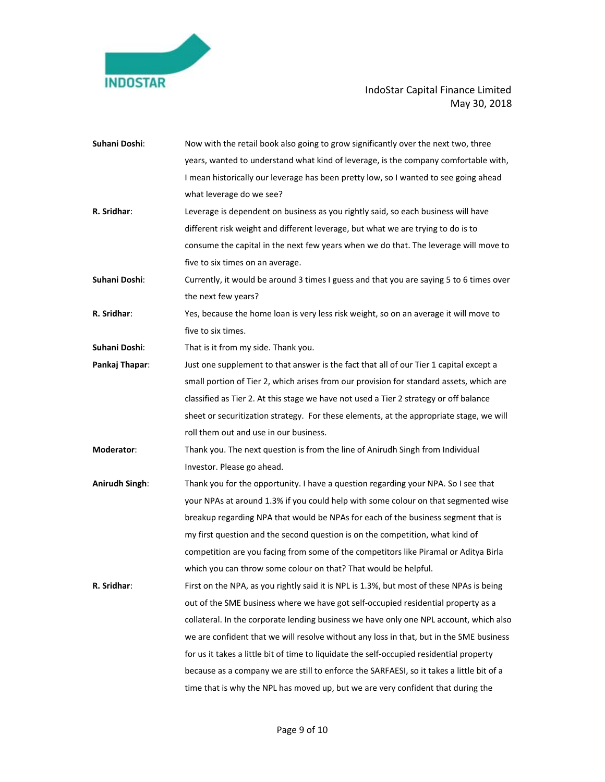

| Suhani Doshi:  | Now with the retail book also going to grow significantly over the next two, three       |
|----------------|------------------------------------------------------------------------------------------|
|                | years, wanted to understand what kind of leverage, is the company comfortable with,      |
|                | I mean historically our leverage has been pretty low, so I wanted to see going ahead     |
|                | what leverage do we see?                                                                 |
| R. Sridhar:    | Leverage is dependent on business as you rightly said, so each business will have        |
|                | different risk weight and different leverage, but what we are trying to do is to         |
|                | consume the capital in the next few years when we do that. The leverage will move to     |
|                | five to six times on an average.                                                         |
| Suhani Doshi:  | Currently, it would be around 3 times I guess and that you are saying 5 to 6 times over  |
|                | the next few years?                                                                      |
| R. Sridhar:    | Yes, because the home loan is very less risk weight, so on an average it will move to    |
|                | five to six times.                                                                       |
| Suhani Doshi:  | That is it from my side. Thank you.                                                      |
| Pankaj Thapar: | Just one supplement to that answer is the fact that all of our Tier 1 capital except a   |
|                | small portion of Tier 2, which arises from our provision for standard assets, which are  |
|                | classified as Tier 2. At this stage we have not used a Tier 2 strategy or off balance    |
|                | sheet or securitization strategy. For these elements, at the appropriate stage, we will  |
|                | roll them out and use in our business.                                                   |
| Moderator:     | Thank you. The next question is from the line of Anirudh Singh from Individual           |
|                | Investor. Please go ahead.                                                               |
| Anirudh Singh: | Thank you for the opportunity. I have a question regarding your NPA. So I see that       |
|                | your NPAs at around 1.3% if you could help with some colour on that segmented wise       |
|                | breakup regarding NPA that would be NPAs for each of the business segment that is        |
|                | my first question and the second question is on the competition, what kind of            |
|                | competition are you facing from some of the competitors like Piramal or Aditya Birla     |
|                | which you can throw some colour on that? That would be helpful.                          |
| R. Sridhar:    | First on the NPA, as you rightly said it is NPL is 1.3%, but most of these NPAs is being |
|                | out of the SME business where we have got self-occupied residential property as a        |
|                | collateral. In the corporate lending business we have only one NPL account, which also   |
|                | we are confident that we will resolve without any loss in that, but in the SME business  |
|                | for us it takes a little bit of time to liquidate the self-occupied residential property |
|                | because as a company we are still to enforce the SARFAESI, so it takes a little bit of a |
|                | time that is why the NPL has moved up, but we are very confident that during the         |